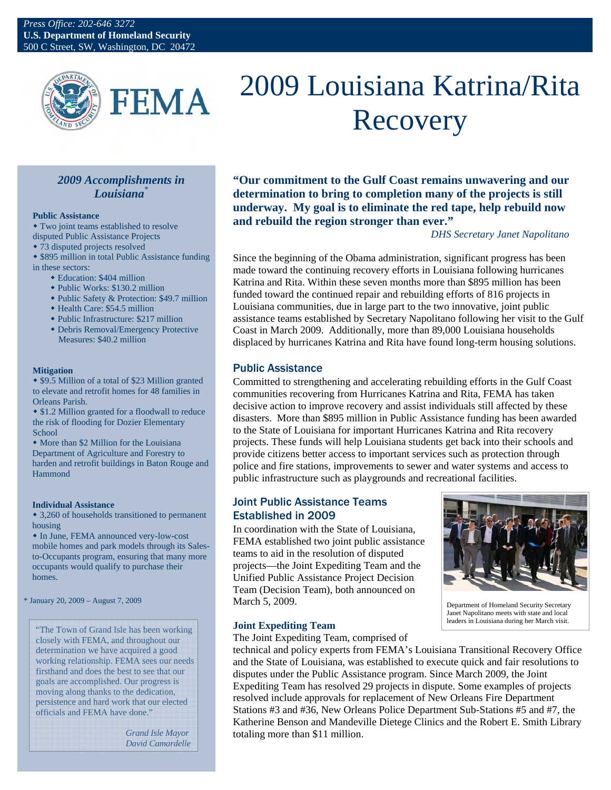

# 2009 Louisiana Katrina/Rita Recovery

## *2009 Accomplishments in Louisiana\**

#### **Public Assistance**

 Two joint teams established to resolve disputed Public Assistance Projects

73 disputed projects resolved

 \$895 million in total Public Assistance funding in these sectors:

- Education: \$404 million
- Public Works: \$130.2 million
- Public Safety & Protection: \$49.7 million
- Health Care: \$54.5 million
- Public Infrastructure: \$217 million
- Debris Removal/Emergency Protective Measures: \$40.2 million

#### **Mitigation**

 \$9.5 Million of a total of \$23 Million granted to elevate and retrofit homes for 48 families in Orleans Parish.

 \$1.2 Million granted for a floodwall to reduce the risk of flooding for Dozier Elementary School

• More than \$2 Million for the Louisiana Department of Agriculture and Forestry to harden and retrofit buildings in Baton Rouge and Hammond

#### **Individual Assistance**

 3,260 of households transitioned to permanent housing

 In June, FEMA announced very-low-cost mobile homes and park models through its Salesto-Occupants program, ensuring that many more occupants would qualify to purchase their homes.

\* January 20, 2009 – August 7, 2009

"The Town of Grand Isle has been working closely with FEMA, and throughout our determination we have acquired a good working relationship. FEMA sees our needs firsthand and does the best to see that our goals are accomplished. Our progress is moving along thanks to the dedication, persistence and hard work that our elected officials and FEMA have done."

> *Grand Isle Mayor David Camardelle*

**"Our commitment to the Gulf Coast remains unwavering and our determination to bring to completion many of the projects is still underway. My goal is to eliminate the red tape, help rebuild now and rebuild the region stronger than ever."** 

## *DHS Secretary Janet Napolitano*

Since the beginning of the Obama administration, significant progress has been made toward the continuing recovery efforts in Louisiana following hurricanes Katrina and Rita. Within these seven months more than \$895 million has been funded toward the continued repair and rebuilding efforts of 816 projects in Louisiana communities, due in large part to the two innovative, joint public assistance teams established by Secretary Napolitano following her visit to the Gulf Coast in March 2009. Additionally, more than 89,000 Louisiana households displaced by hurricanes Katrina and Rita have found long-term housing solutions.

## Public Assistance

Committed to strengthening and accelerating rebuilding efforts in the Gulf Coast communities recovering from Hurricanes Katrina and Rita, FEMA has taken decisive action to improve recovery and assist individuals still affected by these disasters. More than \$895 million in Public Assistance funding has been awarded to the State of Louisiana for important Hurricanes Katrina and Rita recovery projects. These funds will help Louisiana students get back into their schools and provide citizens better access to important services such as protection through police and fire stations, improvements to sewer and water systems and access to public infrastructure such as playgrounds and recreational facilities.

## Joint Public Assistance Teams Established in 2009

In coordination with the State of Louisiana, FEMA established two joint public assistance teams to aid in the resolution of disputed projects—the Joint Expediting Team and the Unified Public Assistance Project Decision Team (Decision Team), both announced on March 5, 2009.



Department of Homeland Security Secretary Janet Napolitano meets with state and local leaders in Louisiana during her March visit.

## **Joint Expediting Team**

The Joint Expediting Team, comprised of

technical and policy experts from FEMA's Louisiana Transitional Recovery Office and the State of Louisiana, was established to execute quick and fair resolutions to disputes under the Public Assistance program. Since March 2009, the Joint Expediting Team has resolved 29 projects in dispute. Some examples of projects resolved include approvals for replacement of New Orleans Fire Department Stations #3 and #36, New Orleans Police Department Sub-Stations #5 and #7, the Katherine Benson and Mandeville Dietege Clinics and the Robert E. Smith Library totaling more than \$11 million.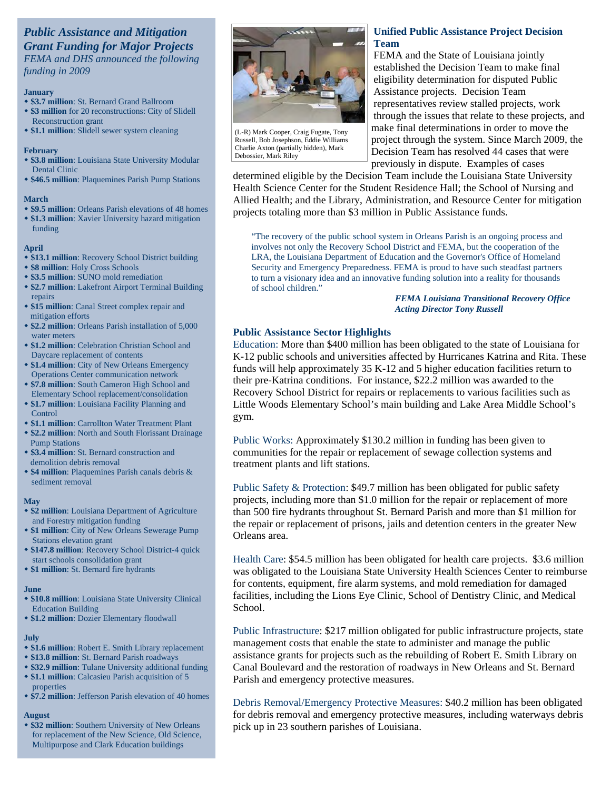## *Public Assistance and Mitigation Grant Funding for Major Projects FEMA and DHS announced the following*

*funding in 2009* 

#### **January**

- **\$3.7 million**: St. Bernard Grand Ballroom
- **\$3 million** for 20 reconstructions: City of Slidell Reconstruction grant
- **\$1.1 million**: Slidell sewer system cleaning

#### **February**

- **\$3.8 million**: Louisiana State University Modular Dental Clinic
- **\$46.5 million**: Plaquemines Parish Pump Stations

#### **March**

- **\$9.5 million**: Orleans Parish elevations of 48 homes **\$1.3 million**: Xavier University hazard mitigation
- funding

#### **April**

- **\$13.1 million**: Recovery School District building
- **\$8 million**: Holy Cross Schools
- **\$3.5 million**: SUNO mold remediation
- **\$2.7 million**: Lakefront Airport Terminal Building repairs
- **\$15 million**: Canal Street complex repair and mitigation efforts
- **\$2.2 million**: Orleans Parish installation of 5,000 water meters
- **\$1.2 million**: Celebration Christian School and Daycare replacement of contents
- **\$1.4 million**: City of New Orleans Emergency Operations Center communication network
- **\$7.8 million**: South Cameron High School and Elementary School replacement/consolidation
- **\$1.7 million**: Louisiana Facility Planning and Control
- **\$1.1 million**: Carrollton Water Treatment Plant
- **\$2.2 million**: North and South Florissant Drainage Pump Stations
- **\$3.4 million**: St. Bernard construction and demolition debris removal
- **\$4 million**: Plaquemines Parish canals debris & sediment removal

### **May**

- **\$2 million**: Louisiana Department of Agriculture and Forestry mitigation funding
- **\$1 million**: City of New Orleans Sewerage Pump Stations elevation grant
- **\$147.8 million**: Recovery School District-4 quick start schools consolidation grant
- **\$1 million**: St. Bernard fire hydrants

## **June**

- **\$10.8 million**: Louisiana State University Clinical Education Building
- **\$1.2 million**: Dozier Elementary floodwall

#### **July**

- **\$1.6 million**: Robert E. Smith Library replacement
- **\$13.8 million**: St. Bernard Parish roadways
- **\$32.9 million**: Tulane University additional funding **\$1.1 million**: Calcasieu Parish acquisition of 5 properties
- **\$7.2 million**: Jefferson Parish elevation of 40 homes

#### **August**

 **\$32 million**: Southern University of New Orleans for replacement of the New Science, Old Science, Multipurpose and Clark Education buildings



(L-R) Mark Cooper, Craig Fugate, Tony Russell, Bob Josephson, Eddie Williams Charlie Axton (partially hidden), Mark Debossier, Mark Riley

## **Unified Public Assistance Project Decision Team**

FEMA and the State of Louisiana jointly established the Decision Team to make final eligibility determination for disputed Public Assistance projects. Decision Team representatives review stalled projects, work through the issues that relate to these projects, and make final determinations in order to move the project through the system. Since March 2009, the Decision Team has resolved 44 cases that were previously in dispute. Examples of cases

determined eligible by the Decision Team include the Louisiana State University Health Science Center for the Student Residence Hall; the School of Nursing and Allied Health; and the Library, Administration, and Resource Center for mitigation projects totaling more than \$3 million in Public Assistance funds.

"The recovery of the public school system in Orleans Parish is an ongoing process and involves not only the Recovery School District and FEMA, but the cooperation of the LRA, the Louisiana Department of Education and the Governor's Office of Homeland Security and Emergency Preparedness. FEMA is proud to have such steadfast partners to turn a visionary idea and an innovative funding solution into a reality for thousands of school children."

> *FEMA Louisiana Transitional Recovery Office Acting Director Tony Russell*

## **Public Assistance Sector Highlights**

Education: More than \$400 million has been obligated to the state of Louisiana for K-12 public schools and universities affected by Hurricanes Katrina and Rita. These funds will help approximately 35 K-12 and 5 higher education facilities return to their pre-Katrina conditions. For instance, \$22.2 million was awarded to the Recovery School District for repairs or replacements to various facilities such as Little Woods Elementary School's main building and Lake Area Middle School's gym.

Public Works: Approximately \$130.2 million in funding has been given to communities for the repair or replacement of sewage collection systems and treatment plants and lift stations.

Public Safety & Protection: \$49.7 million has been obligated for public safety projects, including more than \$1.0 million for the repair or replacement of more than 500 fire hydrants throughout St. Bernard Parish and more than \$1 million for the repair or replacement of prisons, jails and detention centers in the greater New Orleans area.

Health Care: \$54.5 million has been obligated for health care projects. \$3.6 million was obligated to the Louisiana State University Health Sciences Center to reimburse for contents, equipment, fire alarm systems, and mold remediation for damaged facilities, including the Lions Eye Clinic, School of Dentistry Clinic, and Medical School.

Public Infrastructure: \$217 million obligated for public infrastructure projects, state management costs that enable the state to administer and manage the public assistance grants for projects such as the rebuilding of Robert E. Smith Library on Canal Boulevard and the restoration of roadways in New Orleans and St. Bernard Parish and emergency protective measures.

Debris Removal/Emergency Protective Measures: \$40.2 million has been obligated for debris removal and emergency protective measures, including waterways debris pick up in 23 southern parishes of Louisiana.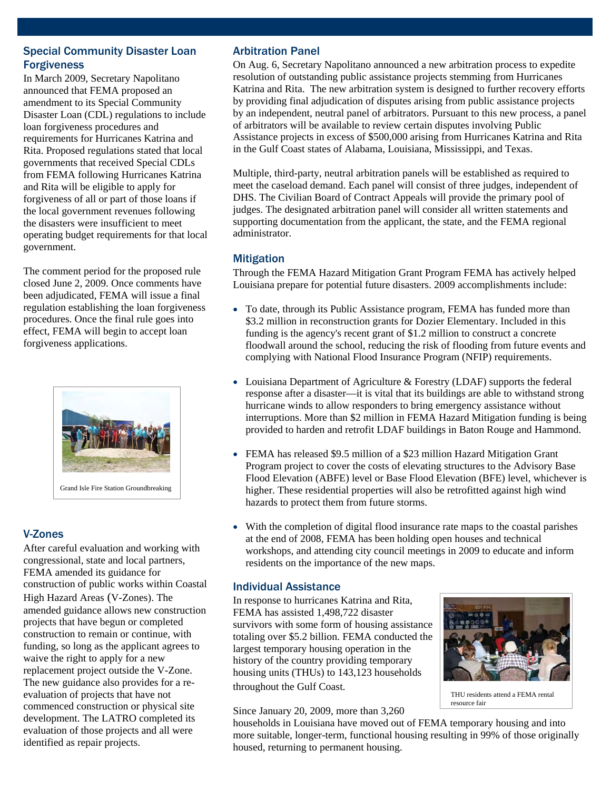# Special Community Disaster Loan Forgiveness

In March 2009, Secretary Napolitano announced that FEMA proposed an amendment to its Special Community Disaster Loan (CDL) regulations to include loan forgiveness procedures and requirements for Hurricanes Katrina and Rita. Proposed regulations stated that local governments that received Special CDLs from FEMA following Hurricanes Katrina and Rita will be eligible to apply for forgiveness of all or part of those loans if the local government revenues following the disasters were insufficient to meet operating budget requirements for that local government.

The comment period for the proposed rule closed June 2, 2009. Once comments have been adjudicated, FEMA will issue a final regulation establishing the loan forgiveness procedures. Once the final rule goes into effect, FEMA will begin to accept loan forgiveness applications.



# V-Zones

After careful evaluation and working with congressional, state and local partners, FEMA amended its guidance for construction of public works within Coastal High Hazard Areas (V-Zones). The amended guidance allows new construction projects that have begun or completed construction to remain or continue, with funding, so long as the applicant agrees to waive the right to apply for a new replacement project outside the V-Zone. The new guidance also provides for a reevaluation of projects that have not commenced construction or physical site development. The LATRO completed its evaluation of those projects and all were identified as repair projects.

## Arbitration Panel

On Aug. 6, Secretary Napolitano announced a new arbitration process to expedite resolution of outstanding public assistance projects stemming from Hurricanes Katrina and Rita. The new arbitration system is designed to further recovery efforts by providing final adjudication of disputes arising from public assistance projects by an independent, neutral panel of arbitrators. Pursuant to this new process, a panel of arbitrators will be available to review certain disputes involving Public Assistance projects in excess of \$500,000 arising from Hurricanes Katrina and Rita in the Gulf Coast states of Alabama, Louisiana, Mississippi, and Texas.

Multiple, third-party, neutral arbitration panels will be established as required to meet the caseload demand. Each panel will consist of three judges, independent of DHS. The Civilian Board of Contract Appeals will provide the primary pool of judges. The designated arbitration panel will consider all written statements and supporting documentation from the applicant, the state, and the FEMA regional administrator.

## **Mitigation**

Through the FEMA Hazard Mitigation Grant Program FEMA has actively helped Louisiana prepare for potential future disasters. 2009 accomplishments include:

- To date, through its Public Assistance program, FEMA has funded more than \$3.2 million in reconstruction grants for Dozier Elementary. Included in this funding is the agency's recent grant of \$1.2 million to construct a concrete floodwall around the school, reducing the risk of flooding from future events and complying with National Flood Insurance Program (NFIP) requirements.
- Louisiana Department of Agriculture & Forestry (LDAF) supports the federal response after a disaster—it is vital that its buildings are able to withstand strong hurricane winds to allow responders to bring emergency assistance without interruptions. More than \$2 million in FEMA Hazard Mitigation funding is being provided to harden and retrofit LDAF buildings in Baton Rouge and Hammond.
- FEMA has released \$9.5 million of a \$23 million Hazard Mitigation Grant Program project to cover the costs of elevating structures to the Advisory Base Flood Elevation (ABFE) level or Base Flood Elevation (BFE) level, whichever is higher. These residential properties will also be retrofitted against high wind hazards to protect them from future storms.
- With the completion of digital flood insurance rate maps to the coastal parishes at the end of 2008, FEMA has been holding open houses and technical workshops, and attending city council meetings in 2009 to educate and inform residents on the importance of the new maps.

# Individual Assistance

In response to hurricanes Katrina and Rita, FEMA has assisted 1,498,722 disaster survivors with some form of housing assistance totaling over \$5.2 billion. FEMA conducted the largest temporary housing operation in the history of the country providing temporary housing units (THUs) to 143,123 households throughout the Gulf Coast.

Since January 20, 2009, more than 3,260



THU residents attend a FEMA rental resource fair

households in Louisiana have moved out of FEMA temporary housing and into more suitable, longer-term, functional housing resulting in 99% of those originally housed, returning to permanent housing.